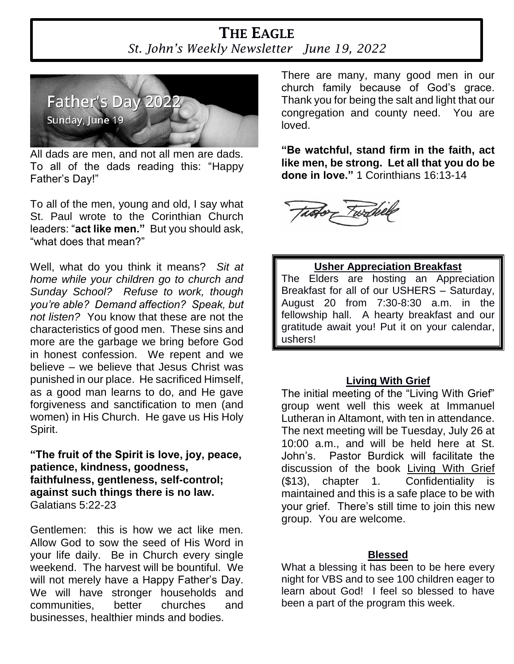# **THE EAGLE** *St. John's Weekly Newsletter June 19, 2022*



All dads are men, and not all men are dads. To all of the dads reading this: "Happy Father's Day!"

To all of the men, young and old, I say what St. Paul wrote to the Corinthian Church leaders: "**act like men."** But you should ask, "what does that mean?"

Well, what do you think it means? *Sit at home while your children go to church and Sunday School? Refuse to work, though you're able? Demand affection? Speak, but not listen?* You know that these are not the characteristics of good men. These sins and more are the garbage we bring before God in honest confession. We repent and we believe – we believe that Jesus Christ was punished in our place. He sacrificed Himself, as a good man learns to do, and He gave forgiveness and sanctification to men (and women) in His Church. He gave us His Holy Spirit.

**"The fruit of the Spirit is love, joy, peace, patience, kindness, goodness, faithfulness, gentleness, self-control; against such things there is no law.**  Galatians 5:22-23

Gentlemen: this is how we act like men. Allow God to sow the seed of His Word in your life daily. Be in Church every single weekend. The harvest will be bountiful. We will not merely have a Happy Father's Day. We will have stronger households and communities, better churches and businesses, healthier minds and bodies.

There are many, many good men in our church family because of God's grace. Thank you for being the salt and light that our congregation and county need. You are loved.

**"Be watchful, stand firm in the faith, act like men, be strong. Let all that you do be done in love."** 1 Corinthians 16:13-14



### **Usher Appreciation Breakfast**

The Elders are hosting an Appreciation Breakfast for all of our USHERS – Saturday, August 20 from 7:30-8:30 a.m. in the fellowship hall. A hearty breakfast and our gratitude await you! Put it on your calendar, ushers!

### **Living With Grief**

The initial meeting of the "Living With Grief" group went well this week at Immanuel Lutheran in Altamont, with ten in attendance. The next meeting will be Tuesday, July 26 at 10:00 a.m., and will be held here at St. John's. Pastor Burdick will facilitate the discussion of the book Living With Grief (\$13), chapter 1. Confidentiality is maintained and this is a safe place to be with your grief. There's still time to join this new group. You are welcome.

### **Blessed**

What a blessing it has been to be here every night for VBS and to see 100 children eager to learn about God! I feel so blessed to have been a part of the program this week.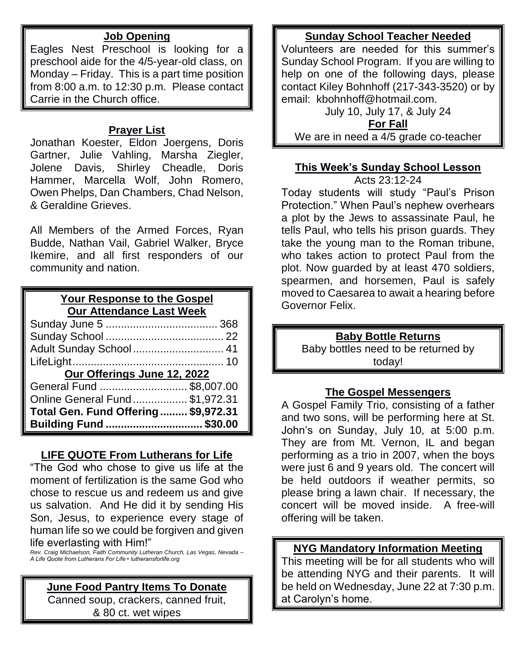### **Job Opening**

Eagles Nest Preschool is looking for a preschool aide for the 4/5-year-old class, on Monday – Friday. This is a part time position from 8:00 a.m. to 12:30 p.m. Please contact Carrie in the Church office.

## **Prayer List**

Jonathan Koester, Eldon Joergens, Doris Gartner, Julie Vahling, Marsha Ziegler, Jolene Davis, Shirley Cheadle, Doris Hammer, Marcella Wolf, John Romero, Owen Phelps, Dan Chambers, Chad Nelson, & Geraldine Grieves.

All Members of the Armed Forces, Ryan Budde, Nathan Vail, Gabriel Walker, Bryce Ikemire, and all first responders of our community and nation.

## **Your Response to the Gospel Our Attendance Last Week**

| Adult Sunday School  41             |  |  |  |  |
|-------------------------------------|--|--|--|--|
|                                     |  |  |  |  |
| Our Offerings June 12, 2022         |  |  |  |  |
| General Fund \$8,007.00             |  |  |  |  |
| Online General Fund \$1,972.31      |  |  |  |  |
| Total Gen. Fund Offering \$9,972.31 |  |  |  |  |
| Building Fund  \$30.00              |  |  |  |  |

### **LIFE QUOTE From Lutherans for Life**

"The God who chose to give us life at the moment of fertilization is the same God who chose to rescue us and redeem us and give us salvation. And He did it by sending His Son, Jesus, to experience every stage of human life so we could be forgiven and given life everlasting with Him!"

*Rev. Craig Michaelson, Faith Community Lutheran Church, Las Vegas, Nevada – A Life Quote from Lutherans For Life • lutheransforlife.org*

### **June Food Pantry Items To Donate**

Canned soup, crackers, canned fruit, & 80 ct. wet wipes

## **Sunday School Teacher Needed**

Volunteers are needed for this summer's Sunday School Program. If you are willing to help on one of the following days, please contact Kiley Bohnhoff (217-343-3520) or by email: kbohnhoff@hotmail.com.

July 10, July 17, & July 24 **For Fall** We are in need a 4/5 grade co-teacher

## **This Week's Sunday School Lesson**

Acts 23:12-24

Today students will study "Paul's Prison Protection." When Paul's nephew overhears a plot by the Jews to assassinate Paul, he tells Paul, who tells his prison guards. They take the young man to the Roman tribune, who takes action to protect Paul from the plot. Now guarded by at least 470 soldiers, spearmen, and horsemen, Paul is safely moved to Caesarea to await a hearing before Governor Felix.

# **Baby Bottle Returns**

Baby bottles need to be returned by today!

### **The Gospel Messengers**

A Gospel Family Trio, consisting of a father and two sons, will be performing here at St. John's on Sunday, July 10, at 5:00 p.m. They are from Mt. Vernon, IL and began performing as a trio in 2007, when the boys were just 6 and 9 years old. The concert will be held outdoors if weather permits, so please bring a lawn chair. If necessary, the concert will be moved inside. A free-will offering will be taken.

## **NYG Mandatory Information Meeting**

This meeting will be for all students who will be attending NYG and their parents. It will be held on Wednesday, June 22 at 7:30 p.m. at Carolyn's home.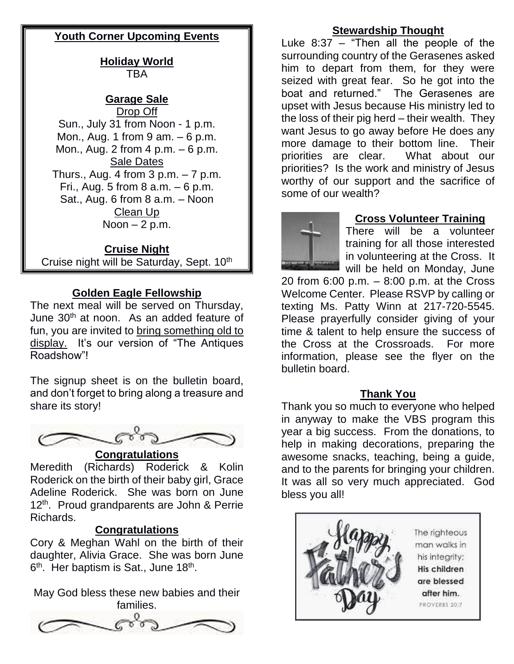## **Youth Corner Upcoming Events**

**Holiday World** TBA

# **Garage Sale**

Drop Off Sun., July 31 from Noon - 1 p.m. Mon., Aug. 1 from 9 am. – 6 p.m. Mon., Aug. 2 from 4 p.m. – 6 p.m. Sale Dates Thurs., Aug. 4 from  $3 p.m. - 7 p.m.$ Fri., Aug. 5 from 8  $a.m. - 6 p.m.$ Sat., Aug. 6 from 8 a.m. – Noon Clean Up Noon  $-2$  p.m.

### **Cruise Night**

Cruise night will be Saturday, Sept. 10<sup>th</sup>

### **Golden Eagle Fellowship**

The next meal will be served on Thursday, June 30<sup>th</sup> at noon. As an added feature of fun, you are invited to bring something old to display. It's our version of "The Antiques Roadshow"!

The signup sheet is on the bulletin board, and don't forget to bring along a treasure and share its story!



### **Congratulations**

Meredith (Richards) Roderick & Kolin Roderick on the birth of their baby girl, Grace Adeline Roderick. She was born on June 12<sup>th</sup>. Proud grandparents are John & Perrie Richards.

#### **Congratulations**

Cory & Meghan Wahl on the birth of their daughter, Alivia Grace. She was born June 6<sup>th</sup>. Her baptism is Sat., June 18<sup>th</sup>.

May God bless these new babies and their families.



### **Stewardship Thought**

Luke 8:37 – "Then all the people of the surrounding country of the Gerasenes asked him to depart from them, for they were seized with great fear. So he got into the boat and returned." The Gerasenes are upset with Jesus because His ministry led to the loss of their pig herd – their wealth. They want Jesus to go away before He does any more damage to their bottom line. Their priorities are clear. What about our priorities? Is the work and ministry of Jesus worthy of our support and the sacrifice of some of our wealth?



### **Cross Volunteer Training**

There will be a volunteer training for all those interested in volunteering at the Cross. It will be held on Monday, June

20 from 6:00 p.m. – 8:00 p.m. at the Cross Welcome Center. Please RSVP by calling or texting Ms. Patty Winn at 217-720-5545. Please prayerfully consider giving of your time & talent to help ensure the success of the Cross at the Crossroads. For more information, please see the flyer on the bulletin board.

#### **Thank You**

Thank you so much to everyone who helped in anyway to make the VBS program this year a big success. From the donations, to help in making decorations, preparing the awesome snacks, teaching, being a guide, and to the parents for bringing your children. It was all so very much appreciated. God bless you all!